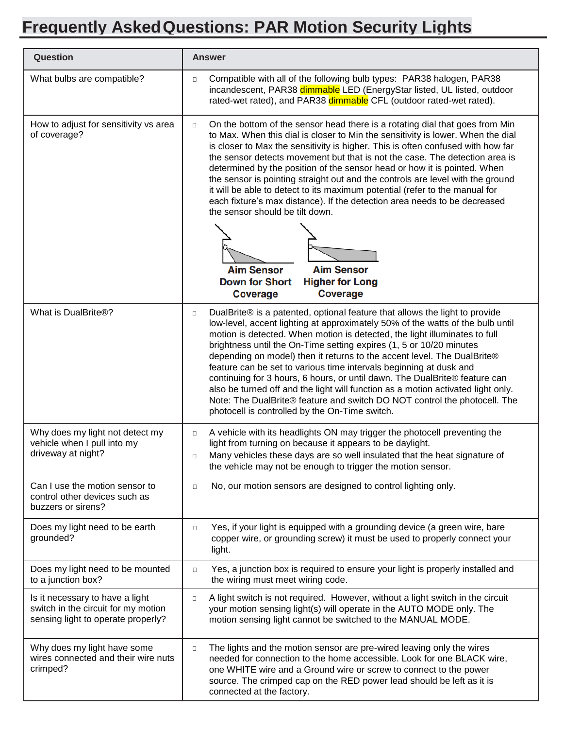## **Frequently AskedQuestions: PAR Motion Security Lights**

| <b>Question</b>                                                                                              | <b>Answer</b>                                                                                                                                                                                                                                                                                                                                                                                                                                                                                                                                                                                                                                                                                                                                                                  |
|--------------------------------------------------------------------------------------------------------------|--------------------------------------------------------------------------------------------------------------------------------------------------------------------------------------------------------------------------------------------------------------------------------------------------------------------------------------------------------------------------------------------------------------------------------------------------------------------------------------------------------------------------------------------------------------------------------------------------------------------------------------------------------------------------------------------------------------------------------------------------------------------------------|
| What bulbs are compatible?                                                                                   | Compatible with all of the following bulb types: PAR38 halogen, PAR38<br>$\Box$<br>incandescent, PAR38 dimmable LED (EnergyStar listed, UL listed, outdoor<br>rated-wet rated), and PAR38 dimmable CFL (outdoor rated-wet rated).                                                                                                                                                                                                                                                                                                                                                                                                                                                                                                                                              |
| How to adjust for sensitivity vs area<br>of coverage?                                                        | On the bottom of the sensor head there is a rotating dial that goes from Min<br>$\Box$<br>to Max. When this dial is closer to Min the sensitivity is lower. When the dial<br>is closer to Max the sensitivity is higher. This is often confused with how far<br>the sensor detects movement but that is not the case. The detection area is<br>determined by the position of the sensor head or how it is pointed. When<br>the sensor is pointing straight out and the controls are level with the ground<br>it will be able to detect to its maximum potential (refer to the manual for<br>each fixture's max distance). If the detection area needs to be decreased<br>the sensor should be tilt down.                                                                       |
|                                                                                                              | <b>Aim Sensor</b><br><b>Aim Sensor</b><br><b>Down for Short</b><br><b>Higher for Long</b><br><b>Coverage</b><br><b>Coverage</b>                                                                                                                                                                                                                                                                                                                                                                                                                                                                                                                                                                                                                                                |
| What is DualBrite®?                                                                                          | DualBrite® is a patented, optional feature that allows the light to provide<br>$\Box$<br>low-level, accent lighting at approximately 50% of the watts of the bulb until<br>motion is detected. When motion is detected, the light illuminates to full<br>brightness until the On-Time setting expires (1, 5 or 10/20 minutes<br>depending on model) then it returns to the accent level. The DualBrite®<br>feature can be set to various time intervals beginning at dusk and<br>continuing for 3 hours, 6 hours, or until dawn. The DualBrite® feature can<br>also be turned off and the light will function as a motion activated light only.<br>Note: The DualBrite® feature and switch DO NOT control the photocell. The<br>photocell is controlled by the On-Time switch. |
| Why does my light not detect my<br>vehicle when I pull into my<br>driveway at night?                         | A vehicle with its headlights ON may trigger the photocell preventing the<br>$\Box$<br>light from turning on because it appears to be daylight.<br>Many vehicles these days are so well insulated that the heat signature of<br>□<br>the vehicle may not be enough to trigger the motion sensor.                                                                                                                                                                                                                                                                                                                                                                                                                                                                               |
| Can I use the motion sensor to<br>control other devices such as<br>buzzers or sirens?                        | No, our motion sensors are designed to control lighting only.<br>$\Box$                                                                                                                                                                                                                                                                                                                                                                                                                                                                                                                                                                                                                                                                                                        |
| Does my light need to be earth<br>grounded?                                                                  | Yes, if your light is equipped with a grounding device (a green wire, bare<br>$\Box$<br>copper wire, or grounding screw) it must be used to properly connect your<br>light.                                                                                                                                                                                                                                                                                                                                                                                                                                                                                                                                                                                                    |
| Does my light need to be mounted<br>to a junction box?                                                       | Yes, a junction box is required to ensure your light is properly installed and<br>$\Box$<br>the wiring must meet wiring code.                                                                                                                                                                                                                                                                                                                                                                                                                                                                                                                                                                                                                                                  |
| Is it necessary to have a light<br>switch in the circuit for my motion<br>sensing light to operate properly? | A light switch is not required. However, without a light switch in the circuit<br>$\Box$<br>your motion sensing light(s) will operate in the AUTO MODE only. The<br>motion sensing light cannot be switched to the MANUAL MODE.                                                                                                                                                                                                                                                                                                                                                                                                                                                                                                                                                |
| Why does my light have some<br>wires connected and their wire nuts<br>crimped?                               | The lights and the motion sensor are pre-wired leaving only the wires<br>$\Box$<br>needed for connection to the home accessible. Look for one BLACK wire,<br>one WHITE wire and a Ground wire or screw to connect to the power<br>source. The crimped cap on the RED power lead should be left as it is<br>connected at the factory.                                                                                                                                                                                                                                                                                                                                                                                                                                           |